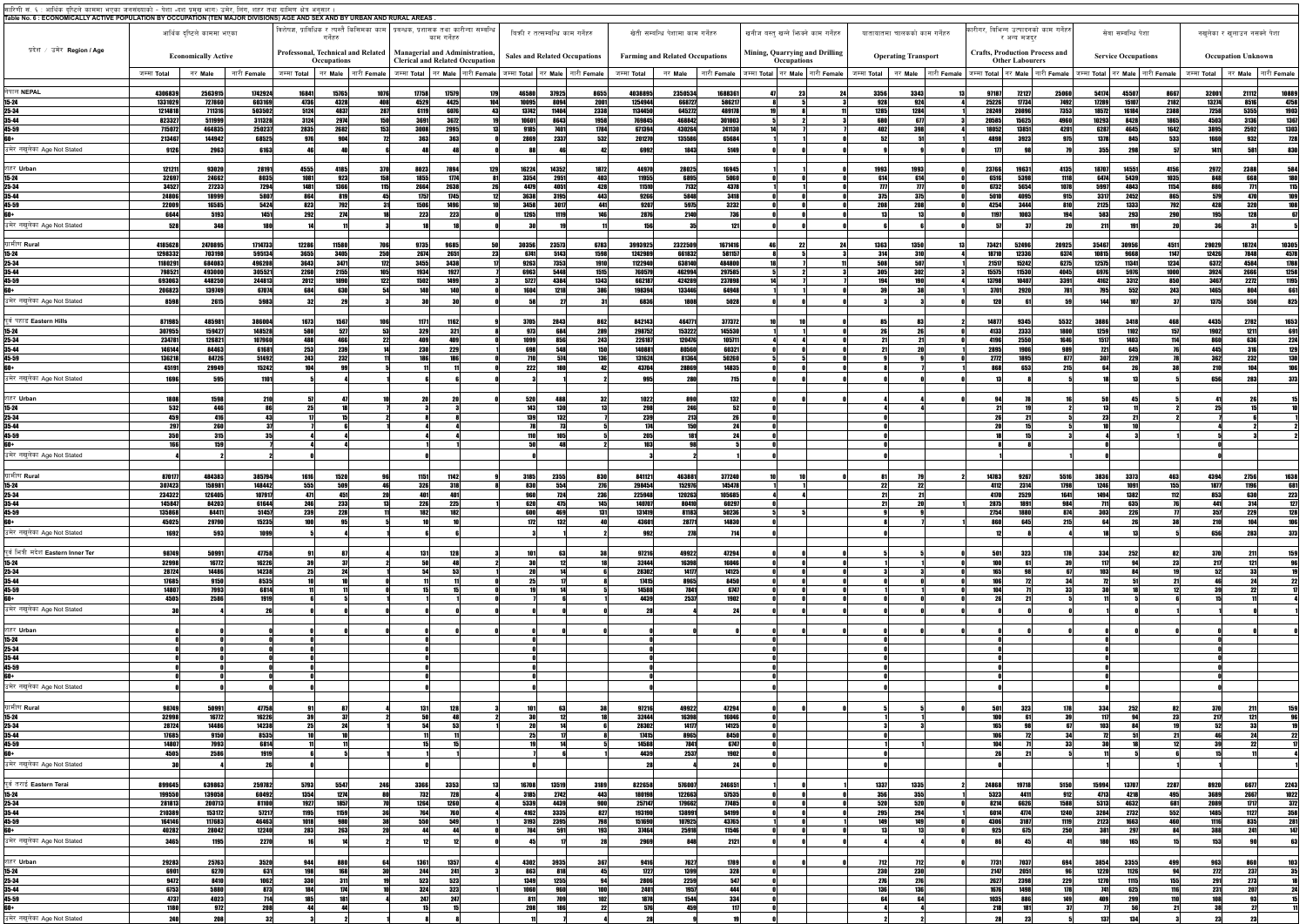| सारिणी सं. ६ : आर्थिक दृष्टिले काममा भएका जनसंख्याको - पेशा -दश प्रमुख भाग) उमेर, लिंग, शहर तथा ग्रामिण क्षेत्र अनुसार                                  |                            |                   |                    |                     |                                                                                                     |                                     |                                                                                                                   |                              |                                                                                                               |                                        |                   |                   |                                                                      |                       |                               |                |                                                                                        |                  |                            |                               |                                  |                                                      |
|---------------------------------------------------------------------------------------------------------------------------------------------------------|----------------------------|-------------------|--------------------|---------------------|-----------------------------------------------------------------------------------------------------|-------------------------------------|-------------------------------------------------------------------------------------------------------------------|------------------------------|---------------------------------------------------------------------------------------------------------------|----------------------------------------|-------------------|-------------------|----------------------------------------------------------------------|-----------------------|-------------------------------|----------------|----------------------------------------------------------------------------------------|------------------|----------------------------|-------------------------------|----------------------------------|------------------------------------------------------|
| Table No. 6 : ECONOMICALLY ACTIVE POPULATION BY OCCUPATION (TEN MAJOR DIVISIONS) AGE AND SEX AND BY URBAN AND RURAL AREAS.<br>आर्थिक दष्टिले काममा भएका |                            |                   |                    |                     |                                                                                                     |                                     | विशेषज्ञ, प्राविधिक र त्यस्तै किसिमका काम   प्रवन्धक, प्रशासक तथा कारीन्दा सम्वन्धि                               |                              | बिकी र तत्सम्बन्धि काम गर्नेहरु<br>खेती सम्बन्धि पेशामा काम गर्नेहरु<br>खनीज बस्त खन्ने भिज्क्ने काम गर्नेहरु |                                        |                   |                   |                                                                      |                       | यातायातमा चालकको काम गर्नेहरु |                | कारीगर. बिभिन्न उत्पादनको काम गर्नेहरु                                                 |                  | सेवा सम्बन्धि पेशा         | नखलेका र खुलाउन नसक्ने पेशा   |                                  |                                                      |
| प्रदेश / उमेर  Region / Age                                                                                                                             |                            |                   |                    |                     | गर्नेहरु                                                                                            |                                     | काम गर्नेहरु                                                                                                      |                              |                                                                                                               |                                        |                   |                   |                                                                      |                       |                               |                | र अन्य मजदर                                                                            |                  |                            |                               |                                  |                                                      |
|                                                                                                                                                         | <b>Economically Active</b> |                   |                    |                     | Professonal, Technical and Related<br>Occupations                                                   |                                     | <b>Managerial and Administration,</b><br><b>Clerical and Related Occupation</b>                                   |                              | <b>Sales and Related Occupations</b>                                                                          | <b>Farming and Related Occupations</b> |                   |                   | Mining, Quarrying and Drilling<br>Occupations                        |                       | <b>Operating Transport</b>    |                | <b>Crafts, Production Process and</b><br><b>Other Labourers</b>                        |                  | <b>Service Occupations</b> | <b>Occupation Unknown</b>     |                                  |                                                      |
|                                                                                                                                                         | जम्मा <b>Total</b>         | नर Male           | नारी <b>Female</b> |                     |                                                                                                     |                                     | जम्मा Total │ नर Male │ नारी Female │ जम्मा Total │ नर Male │ नारी Female │ जम्मा Total │ नर Male │ नारी Female │ |                              |                                                                                                               | जम्मा <b>Total</b>                     | नर Male           |                   | │ नारी Female │ जम्मा Total │ नर Male │ नारी Female │  जम्मा Total │ |                       |                               |                | ानर Male │नारी Female│जम्मा Total│नर Male│नारी Female│जम्मा Total│नर Male│नारी Female│ |                  |                            |                               | जम्मा Total किर Male नारी Female |                                                      |
| नेपाल NEPAL<br>$15 - 24$                                                                                                                                | 4306839<br>1331029         | 2563915<br>727860 | 1742924<br>603169  | 16841<br>4736       | 15765<br>4328                                                                                       | 17758<br>1076<br>4529<br><b>ANG</b> | 17579<br>4425                                                                                                     | 179<br>46580<br>104<br>10095 | 8655<br>37925<br>2001<br>8094                                                                                 | 4038895<br>1254944                     | 2350534<br>668727 | 1688361<br>586217 |                                                                      | 3356<br>928           | 3343<br>924                   | 97187<br>25226 | 72127<br>25060<br>7492<br>17734                                                        | 54174<br>17289   | 8667<br>45507<br>15107     | 32001<br>2182<br>13274        | 21112<br>8516                    | 10889<br>4758<br>4758<br>1903<br>1367<br>1303<br>728 |
| $25 - 34$                                                                                                                                               | 1214818                    | 711316            | 503502             | 5124                | 4837                                                                                                | 287<br>6119                         | 6076                                                                                                              | 13742                        | 2338<br>11404                                                                                                 | 1134450                                | 645272            | 489178            |                                                                      | 1285                  | 1284                          | 28249          | 7353<br>20896                                                                          | 18572            | 2388<br>16184              | 7258                          | 5355                             |                                                      |
| 35-44<br>45-59                                                                                                                                          | 823327<br>715072           | 511999<br>464835  | 311328<br>250237   | 3124<br>2835        | 2974<br>2682                                                                                        | <b>150</b><br>3691<br>3008<br>1531  | 3672<br>2995                                                                                                      | 10601<br>9185                | 1958<br>8643<br>7401<br>1784                                                                                  | 769845<br>671394                       | 468842<br>430264  | 301003<br>241130  |                                                                      | 680<br>402            | 677<br>398                    | 20585<br>18052 | 4960<br>15625<br>4201<br>13851                                                         | 10293<br>6287    | 8428<br>4645               | 1865<br>4503<br>3895<br>1642  | 3136<br>2592                     |                                                      |
| 60+<br>उमेर नखलेका Age Not Stated                                                                                                                       | 213467<br>9126             | 144942<br>2963    | 68525<br>6163      | 976                 | 904                                                                                                 | <b>363</b>                          | 363                                                                                                               | 2869                         | 2337<br>532                                                                                                   | 201270<br>6992                         | 135586<br>1843    | 65684<br>5149     |                                                                      | 52                    |                               | 4898<br>177    | 3923<br>975                                                                            | 1378<br>355      | 845                        | 533<br>1660<br>141            | 932                              | 830                                                  |
|                                                                                                                                                         |                            |                   |                    |                     |                                                                                                     |                                     |                                                                                                                   |                              |                                                                                                               |                                        |                   |                   |                                                                      |                       |                               |                |                                                                                        |                  |                            |                               |                                  |                                                      |
| शहर Urban<br>$15 - 24$                                                                                                                                  | 12121<br>32697             | 93020<br>24662    | 28191<br>8035      | 4555<br>1081        | 4185<br>923                                                                                         | 8023<br>1855<br>158                 | 7894<br>1774                                                                                                      | 16224<br>129<br>3354         | 1872<br>14352<br>2951<br>403                                                                                  | 44970<br>11955                         | 28025<br>6895     | 16945<br>5060     |                                                                      | 1993<br>614           | 1993<br>614                   | 23766<br>6516  | 1963<br>4135<br>5398<br>1118                                                           | 18707<br>6474    | 14551<br>5439              | 2972<br>4156<br>1035<br>848   | 2388<br>668                      | 58                                                   |
| $25 - 34$<br><u>35-44</u>                                                                                                                               | 34527<br>24806             | 27233<br>18999    | 7294<br>5807       | 1481<br>864         | <b>1366</b><br>819                                                                                  | 2664<br>115<br>1757                 | 2638<br>1745                                                                                                      | 4479<br>3638                 | <b>428</b><br>4051<br>3195<br>443                                                                             | 11510<br>9266                          | 7132<br>5848      | 4378<br>3418      |                                                                      | $\overline{m}$<br>375 | $\boldsymbol{\eta}$<br>375    | 6732<br>5010   | 1078<br>5654<br>915<br>4095                                                            | 5997<br>3317     | 4843<br>2452               | 1154<br>886<br>865<br>579     | 470                              | 11:<br>109                                           |
| 45-59<br>60+                                                                                                                                            | 22009<br>6644              | 16585<br>5193     | 5424<br>1451       | 823<br>292          | <b>792</b><br>ורפ                                                                                   | 1506<br><b>223</b>                  | 1496<br>223                                                                                                       | 3458<br>1265                 | 3017<br>441<br>146                                                                                            | 9207<br>2876                           | 5975<br>2140      | 3232<br>736       |                                                                      | 208                   | 208                           | 4254<br>1107   | 3444<br>810<br>1003<br>10/                                                             | 2125<br>583      | 1333                       | <b>792</b><br>428<br>195      | <b>320</b>                       |                                                      |
| उमेर नखलेका Age Not Stated                                                                                                                              | 528                        | 348               | <b>180</b>         |                     |                                                                                                     |                                     |                                                                                                                   |                              |                                                                                                               | 156                                    |                   | 121               |                                                                      |                       |                               |                |                                                                                        | 211              |                            |                               |                                  |                                                      |
| ग्रामीण Rural                                                                                                                                           | 4185628                    | 2470895           | 1714733            | 12286               | 11580                                                                                               | 9735                                | 9685                                                                                                              | 30356                        | 6783<br>23573                                                                                                 | 3993925                                | 2322509           | 1671416           |                                                                      | 1363                  | 1350                          | 73421          | 52496<br>20925                                                                         | 35467            | 4511<br>30956              | 29029                         | 18724                            |                                                      |
| $15 - 24$<br>25-34                                                                                                                                      | 1298332<br>1180291         | 703198<br>684083  | 595134<br>496208   | 3655<br>3643        | 3405<br>3471                                                                                        | 250<br>2674<br>3455<br>172          | 2651<br>3438                                                                                                      | 6741<br>23<br>9263           | 1598<br>5143<br>1910<br>7353                                                                                  | 1242989<br>1122940                     | 661832<br>638140  | 581157<br>484800  |                                                                      | 314<br>508            | 310<br>507                    | 18710<br>21517 | 12336<br>6374<br>6275<br>15242                                                         | 10815<br>12575   | 9668<br>11341              | 1147<br>12426<br>1234<br>6372 | 7848<br>4584                     | 10305<br>4578<br>1788<br>1258<br>1195                |
| 35-44<br>45-59                                                                                                                                          | 798521<br>693063           | 493000<br>448250  | 305521<br>244813   | 2260<br>2012        | 2155<br>1890                                                                                        | 1934<br>105<br>1502<br>122          | 1927<br>1499                                                                                                      | 6963<br>5727                 | 1515<br>5448<br>4384<br>1343                                                                                  | 760579<br>662187                       | 462994<br>424289  | 297585<br>237898  |                                                                      | <b>305</b><br>194     | <b>302</b>                    | 15575<br>13798 | 4045<br>11530<br>3391<br>10407                                                         | 6976<br>4162     | 5976<br>3312               | 1000<br>3924<br>3467<br>850   | 2666<br>2272                     |                                                      |
| 60+                                                                                                                                                     | 206823                     | 139749            | 67074              | 684                 | 630                                                                                                 | <b>140</b>                          | 140                                                                                                               | 1604                         | 1218<br><b>386</b>                                                                                            | 198394                                 | 133446            | 64948             |                                                                      |                       |                               | 3701           | <b>781</b><br>2920                                                                     | <b>795</b>       | 552                        | 243<br>1465                   | 804                              | 661                                                  |
| उमेर नखुलेका Age Not Stated                                                                                                                             | 8598                       | 2615              | 5983               |                     |                                                                                                     |                                     |                                                                                                                   |                              |                                                                                                               | 6836                                   | 1808              | 5028              |                                                                      |                       |                               | 120            |                                                                                        | 11I              |                            | 1375                          | 551                              | 825                                                  |
| पूर्व पहाड Eastern Hills                                                                                                                                | 871985                     | 485981            | 386004             | 1673                | 1567                                                                                                | 1171                                | 1162 l                                                                                                            | 3705                         | $\begin{array}{r} 862 \\ \hline 289 \end{array}$<br>2843                                                      | 842143                                 | 464771            | 377372            |                                                                      |                       |                               | 14877          | 5532<br>9345                                                                           | 3886             | 3418                       | 4435                          | 2782                             | 1653<br>691                                          |
| 15-24<br>25-34<br>35-44<br>45-59                                                                                                                        | 307955<br>234781           | 159427<br>126821  | 148528<br>107960   | 580<br>488          | 527<br>466                                                                                          | 329<br>53<br>409<br>22<br>920       | 321<br>409                                                                                                        | 973<br>1099<br><b>COO</b>    | 684<br>243<br>856                                                                                             | 298752<br>226187<br>140001             | 153222<br>120476  | 145530<br>105711  |                                                                      |                       |                               | 4133<br>4196   | 2333<br>1800<br>1646<br>2550<br>non<br>100 <sub>g</sub>                                | 1259<br>1517     | 1102<br>1403               | 157<br>1902<br>114<br>860     | 1211<br>636                      | 224<br>$\overline{100}$                              |
|                                                                                                                                                         | 146144<br>136218           | 84463<br>84726    | 61681<br>51492     | 253<br>243          | $\begin{array}{r} \n \textcolor{red}{\textbf{239}} \\ \textcolor{red}{\textbf{232}} \\ \end{array}$ |                                     | $\overline{229}$                                                                                                  | 710                          | 548<br>150<br><b>136</b><br>574                                                                               | 131624                                 | 80560<br>81364    | 60321<br>50260    |                                                                      |                       |                               | 2895<br>2772   | $\frac{909}{877}$<br>1895                                                              | 721<br>307       | 645<br>229                 | 445<br>362                    | 316<br>232                       |                                                      |
| 60+<br>उमेर नखलेका Age Not Stated                                                                                                                       | 45191<br>1696              | 29949<br>595      | 15242<br>1101      | 10a                 |                                                                                                     |                                     |                                                                                                                   | 222                          | 100                                                                                                           | 43704                                  | 28869<br>28       | 14835             |                                                                      |                       |                               | RAR            | 215<br>653                                                                             | eл.              |                            | 210 l<br>656                  | 10A                              |                                                      |
|                                                                                                                                                         |                            |                   |                    |                     |                                                                                                     |                                     |                                                                                                                   |                              |                                                                                                               |                                        |                   |                   |                                                                      |                       |                               |                |                                                                                        |                  |                            |                               |                                  |                                                      |
| शहर Urban<br>15-24                                                                                                                                      | 1808<br>532                | 1598<br>446       | <b>210</b>         | 25                  |                                                                                                     |                                     |                                                                                                                   | <b>520</b><br>143            | 488<br>130                                                                                                    | 1022<br>298                            | 890<br>246        | 132<br>-52        |                                                                      |                       |                               |                |                                                                                        |                  |                            |                               |                                  |                                                      |
| 25-34<br>$35 - 44$                                                                                                                                      | 459<br>297                 | 416<br>260        | 43                 |                     |                                                                                                     |                                     |                                                                                                                   | 139                          | 132                                                                                                           | 239                                    | 213<br>150        |                   |                                                                      |                       |                               |                |                                                                                        | 23               |                            |                               |                                  |                                                      |
| 45-59<br>60+                                                                                                                                            | 350<br>166                 | 315<br>159        |                    |                     |                                                                                                     |                                     |                                                                                                                   | 50                           |                                                                                                               | 205<br><b>103</b>                      |                   |                   |                                                                      |                       |                               |                |                                                                                        |                  |                            |                               |                                  |                                                      |
| उमेर नखुलेका Age Not Stated                                                                                                                             |                            |                   |                    |                     |                                                                                                     |                                     |                                                                                                                   |                              |                                                                                                               |                                        |                   |                   |                                                                      |                       |                               |                |                                                                                        |                  |                            |                               |                                  |                                                      |
| ग्रामीण Rural                                                                                                                                           | 870177                     | 484383            | 385794             | 1616                | 1520                                                                                                | 1151                                | 1142                                                                                                              | 3185                         | 830<br>23551                                                                                                  | 841121                                 | 463881            | 377240            |                                                                      |                       |                               | 14783          | 9267<br>5516                                                                           | 38361            |                            | 4394                          | 2756                             | <u>1638</u>                                          |
| $15 - 24$                                                                                                                                               | 307423<br>234322           | 158981<br>126405  | 148442<br>107917   | 555<br>471          | 509<br>451                                                                                          | <b>326</b><br>401                   | 318                                                                                                               | 830                          | 554<br>276<br><b>236</b>                                                                                      | 298454<br>225948                       | 152976<br>120263  | 145478<br>105685  |                                                                      |                       |                               | 4112<br>4170   | 2314<br>1641<br>2529                                                                   | 1246 <br>1494    |                            | 187<br>853                    |                                  | 68<br>$\overline{22}$                                |
| $25 - 34$<br>35-44                                                                                                                                      | 145847                     | 84203             | 61644              | 24                  | 233                                                                                                 | <b>226</b>                          | 225                                                                                                               | 620                          | 475<br>145                                                                                                    | 140707                                 | 80410             | 60297             |                                                                      |                       |                               | 28751          | 984                                                                                    | 711              | 635                        | A41                           | 314                              | 12                                                   |
| 45-59<br>60+                                                                                                                                            | 135868<br>45025            | 84411<br>29790    | 51457<br>15235     | 239                 | 228                                                                                                 | 182                                 | 182                                                                                                               | 600<br>172                   | 131<br>132                                                                                                    | 131419<br>43601                        | 81183<br>28771    | 50236<br>14830    |                                                                      |                       |                               | 2754           | 874<br>215<br>645                                                                      | <b>303</b>       | 226                        | 357<br><b>210</b>             | 229                              |                                                      |
| उमेर नखुलेका Age Not Stated                                                                                                                             | 1692                       | 593               | 1099               |                     |                                                                                                     |                                     |                                                                                                                   |                              |                                                                                                               | 992                                    | 278               |                   |                                                                      |                       |                               |                |                                                                                        |                  |                            | 656                           |                                  |                                                      |
| पूर्व भित्री मदेश Eastern Inner Ter                                                                                                                     | 98749                      | 50991             | 47758              |                     |                                                                                                     | 131                                 |                                                                                                                   | 10                           |                                                                                                               | 97216                                  | 49922             | 47294             |                                                                      |                       |                               | 501            | 178<br>323                                                                             | 334              |                            | 370                           |                                  |                                                      |
| $15 - 24$<br>25-34                                                                                                                                      | 32998<br>28724             | 16772<br>14486    | 16226<br>14238     | 25                  |                                                                                                     | -54                                 |                                                                                                                   | 20                           |                                                                                                               | 32444<br>28302                         | 16398<br>14177    | 16046<br>14125    |                                                                      |                       |                               |                |                                                                                        | 103 <sup>1</sup> |                            | 217<br>52                     |                                  |                                                      |
| 35-44<br>45-59                                                                                                                                          | 17685<br>14807             | 9150<br>7993      | 8535<br>6814       |                     |                                                                                                     |                                     |                                                                                                                   |                              |                                                                                                               | 17415<br>14588                         | 8965<br>7841      | 8450<br>6747      |                                                                      |                       |                               |                |                                                                                        |                  |                            |                               |                                  |                                                      |
| 60+<br>उमेर नखलेका Age Not Stated                                                                                                                       | 4505                       | 2586              | 1919               |                     |                                                                                                     |                                     |                                                                                                                   |                              |                                                                                                               | 4439                                   | 2537              | 1902              |                                                                      |                       |                               |                |                                                                                        |                  |                            |                               |                                  |                                                      |
|                                                                                                                                                         |                            |                   |                    |                     |                                                                                                     |                                     |                                                                                                                   |                              |                                                                                                               |                                        |                   |                   |                                                                      |                       |                               |                |                                                                                        |                  |                            |                               |                                  |                                                      |
| शहर Urban<br>15-24                                                                                                                                      |                            |                   |                    |                     |                                                                                                     |                                     |                                                                                                                   |                              |                                                                                                               |                                        |                   |                   |                                                                      |                       |                               |                |                                                                                        |                  |                            |                               |                                  |                                                      |
| 25-34<br>$35 - 44$                                                                                                                                      |                            |                   |                    |                     |                                                                                                     |                                     |                                                                                                                   |                              |                                                                                                               |                                        |                   |                   |                                                                      |                       |                               |                |                                                                                        |                  |                            |                               |                                  |                                                      |
| $45 - 59$                                                                                                                                               |                            |                   |                    |                     |                                                                                                     |                                     |                                                                                                                   |                              |                                                                                                               |                                        |                   |                   |                                                                      |                       |                               |                |                                                                                        |                  |                            |                               |                                  |                                                      |
| उमेर नखुलेका Age Not Stated                                                                                                                             |                            |                   |                    |                     |                                                                                                     |                                     |                                                                                                                   |                              |                                                                                                               |                                        |                   |                   |                                                                      |                       |                               |                |                                                                                        |                  |                            |                               |                                  |                                                      |
| ग्रामीण Rural                                                                                                                                           | 98749                      | 50991             | 47758              |                     |                                                                                                     | 131                                 | 128                                                                                                               |                              |                                                                                                               | 97216                                  | 49922             | 47294             |                                                                      |                       |                               | 501            | 323<br>178                                                                             | 334              | 2521                       | <b>370</b>                    | 211                              |                                                      |
| $15 - 24$                                                                                                                                               | 32998                      | 16772             | 16226              |                     |                                                                                                     |                                     |                                                                                                                   | -20                          |                                                                                                               | 32444                                  | 16398             | 16046             |                                                                      |                       |                               |                |                                                                                        | 103              |                            | 217<br>52                     |                                  |                                                      |
| $25 - 34$<br>35-44                                                                                                                                      | 28724<br>17685             | 14486<br>9150     | 14238<br>8535      | 25                  |                                                                                                     |                                     |                                                                                                                   | 25                           |                                                                                                               | 28302<br>17415                         | 14177<br>8965     | 14125<br>8450     |                                                                      |                       |                               | 106            | 34 I                                                                                   |                  |                            |                               | 2 <sub>4</sub>                   |                                                      |
| 45-59<br>60+                                                                                                                                            | 14807<br>4505              | 7993<br>2586      | 6814<br>1919       |                     |                                                                                                     |                                     |                                                                                                                   |                              |                                                                                                               | 14588<br>4439                          | 7841<br>2537      | 6747<br>1902      |                                                                      |                       |                               |                |                                                                                        |                  |                            |                               |                                  |                                                      |
| उमेर नखुलेका Age Not Stated                                                                                                                             |                            |                   | 26                 |                     |                                                                                                     |                                     |                                                                                                                   |                              |                                                                                                               |                                        |                   |                   |                                                                      |                       |                               |                |                                                                                        |                  |                            |                               |                                  |                                                      |
| पूर्व तराई Eastern Terai                                                                                                                                | 899645                     | 639863            | 259782             | 5793                | 5547                                                                                                | 3366<br>2461                        | 3353                                                                                                              | 16708                        | 3189<br>13519                                                                                                 | 822658                                 | 576007            | 246651            |                                                                      | 1337                  | 1335                          | 24868          | 5150<br>19718                                                                          | 15994            | 2287<br>13707              | 8920                          | 6677                             | <b>2243</b>                                          |
| $15 - 24$<br>$25 - 34$                                                                                                                                  | 199550<br>281813           | 139058<br>200713  | 60492<br>81100     | <b>1354</b><br>1927 | 1274<br>1857                                                                                        | 732<br>1264                         | 728<br>1260                                                                                                       | 3185<br>5339                 | 443<br>2742<br>900<br>4439                                                                                    | 180198<br>257147                       | 122663<br>179662  | 57535<br>77485    |                                                                      | <b>356</b><br>520     | 355<br>520                    | 5323<br>8214   | 912<br>4411<br>6626<br>1588                                                            | 4713<br>5313     | 4218<br>4632               | 3689<br>495<br>681<br>2089    | 2667<br>1717                     | 1022<br>372                                          |
| $35 - 44$<br>$45 - 59$                                                                                                                                  | 210389<br>164146           | 153172<br>117683  | 57217<br>46463     | 1195<br>1018        | 1159<br>980                                                                                         | 764<br>550                          | 549                                                                                                               | 4162<br>3193                 | 3335<br>827<br><b>2395</b>                                                                                    | 193190<br>151690                       | 138991<br>107925  | 54199<br>43765    |                                                                      | 295                   | 294                           | 6014<br>4306   | 4774<br>1240<br>3187<br>1119                                                           | 3284<br>2123     | 2732                       | 552<br>1485<br>460<br>1116    | 1127<br>835                      | $\frac{358}{281}$                                    |
| 60+                                                                                                                                                     | 40282                      | 28042             | 12240              | 283                 | 263                                                                                                 |                                     |                                                                                                                   | 784                          | <b>193</b>                                                                                                    | 37464                                  | 25918             | 11546             |                                                                      |                       |                               | 925            | 250<br>675                                                                             | 381              | 297                        | 388<br>84                     | 241                              | 147                                                  |
| उमेर नखुलेका Age Not Stated                                                                                                                             | 3465                       | 1195              | 2270               |                     |                                                                                                     |                                     |                                                                                                                   | 45                           |                                                                                                               | 2969                                   | 848               | 2121              |                                                                      |                       |                               |                |                                                                                        | 180 <sup>1</sup> |                            | 153                           |                                  |                                                      |
| शहर Urban<br>$15 - 24$                                                                                                                                  | 29283<br>6901              | 25763<br>6270     | <b>3520</b><br>631 | 944<br>198          | 880<br>168                                                                                          | 1361<br>244                         | 1357<br>241                                                                                                       | 4302<br>863                  | 3935<br>3671<br>818                                                                                           | 9416                                   | 7627<br>1399      | 1789<br>328       |                                                                      | 712<br><b>230</b>     | 712<br>230                    | 7731<br>2147   | 7037<br>694<br>2051                                                                    | 3854<br>1220     | 3355<br>1126               | 963<br>499<br>272             | 860<br>237                       |                                                      |
| 25-34<br>35-44                                                                                                                                          | 9472<br>6753               | 8410<br>5880      | 1062<br>873        | <b>330</b><br>184   | 311<br>174                                                                                          | 523<br>324                          | 523<br>323                                                                                                        | 1349<br>1060                 | 1255<br>960                                                                                                   | $\frac{1727}{2806}$<br>2401            | 2259<br>1957      | 547<br>444        |                                                                      | 276<br>136            | 276<br>136                    | 2627<br>1676   | 229<br>2398<br>178                                                                     | 1270<br>741      | 1115<br>625                | 155<br>291<br>231             | 273<br>207                       |                                                      |
| $45 - 59$                                                                                                                                               | 4737                       | 4023              | 714                | 185                 |                                                                                                     | 247                                 | 247                                                                                                               |                              |                                                                                                               | 1878                                   | 1544              | $\frac{334}{117}$ |                                                                      |                       |                               | 1035<br>218    |                                                                                        | 409              |                            |                               |                                  |                                                      |
| 60+<br>उमेर नखुलेका Age Not Stated                                                                                                                      | <b>1180</b>                | 972<br>208        | 208                |                     |                                                                                                     |                                     |                                                                                                                   | 208                          |                                                                                                               | 576                                    | 459               |                   |                                                                      |                       |                               |                |                                                                                        | 137              |                            |                               |                                  |                                                      |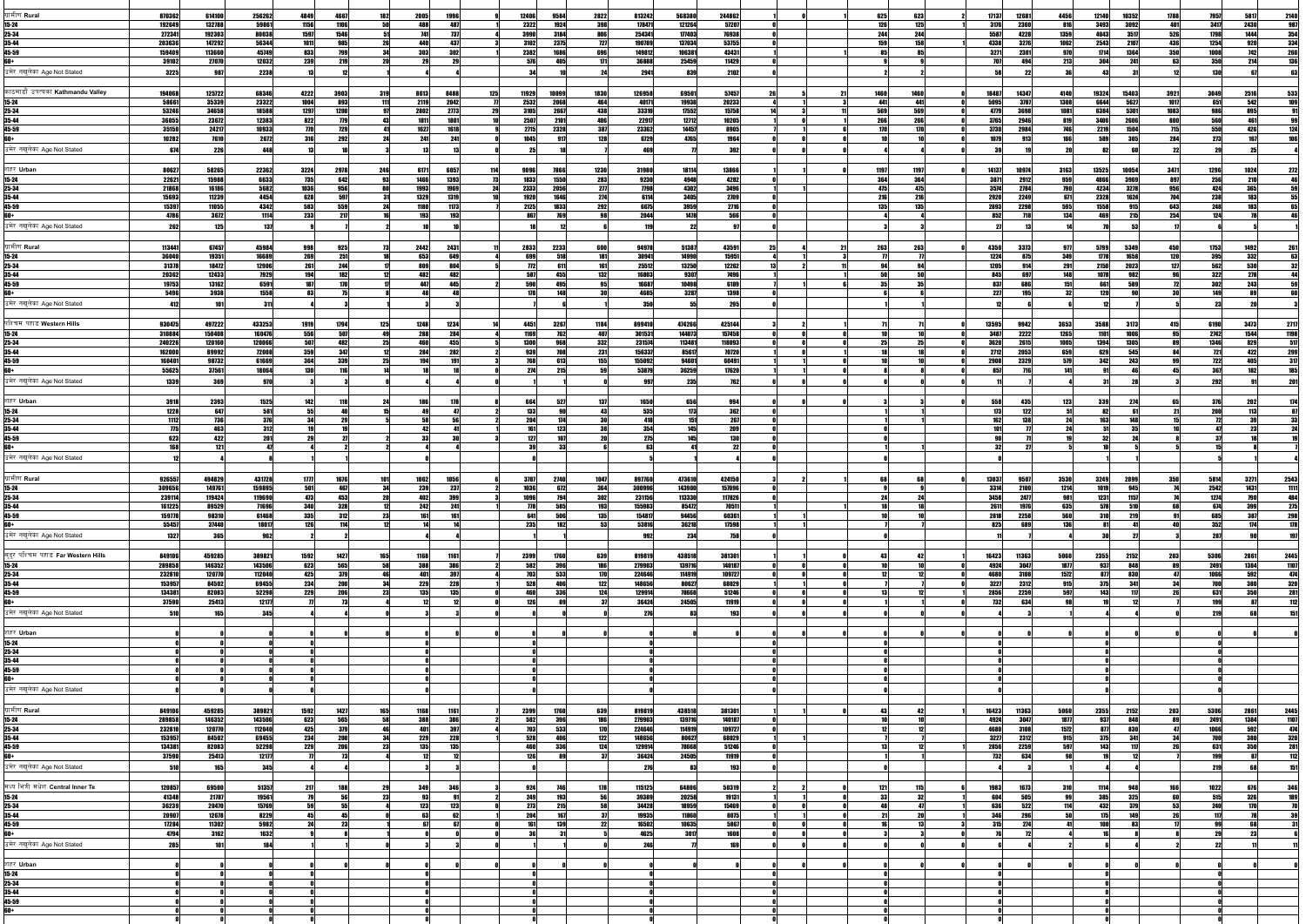| ग्रामीण <b>Rura</b> l                      | 870362           | 614100           | 256262            | 4849<br>4667                    | 182                | 2005<br>1996                 |                    | 12406              | 9584               | 2822        | 813242           | 568380           | 244862           | 625                | 623         | 17137<br>12681         | 4456                      | 12140         | 10352         | 1788                     | 7957<br>5817               | 2140                |
|--------------------------------------------|------------------|------------------|-------------------|---------------------------------|--------------------|------------------------------|--------------------|--------------------|--------------------|-------------|------------------|------------------|------------------|--------------------|-------------|------------------------|---------------------------|---------------|---------------|--------------------------|----------------------------|---------------------|
| 15-24                                      | 192649           | 132788           | 59861             | 1106<br>1156                    |                    |                              | AR <sub>1</sub>    | 2322               |                    | 398         | 178471           | 121264           | 57207            | <b>126</b>         | 125         | 3176<br>2360           | 816                       | 3493          | 3092          | 401                      | 3417<br>2430               | 98                  |
| 25-34                                      | 272341           | 192303           | 80038             | 1597<br>1546                    |                    | 741                          | 737                | 3990               | 3184               |             | 254341           | 177403           | 76938            | 244                | 244         | 5587                   | 4228<br>1359              | 4043          | 3517          | 526                      | 1798<br>1444               | 354                 |
| 35-44                                      | 203636           | 147292           | 56344             | 1011<br>985                     |                    |                              | 437                | 3102               | 2375               | וכר         | 190789           | 137034           | 53755            | 159                |             | 4338<br>3276           | 1062                      | 2543          | 2107          | 436                      | 1254                       | 334                 |
| 45-59                                      | 159409           | 113660           | 45749             | <b>799</b><br>833               |                    | 303<br>30                    |                    | 2382               |                    |             | 149812           | 106381           | 43431            |                    |             | 3271                   | 2301<br>970               | 1714          | 1364          | 350                      | 1001<br>149                | 26                  |
|                                            | 39102            | 27070            | 12032             | 239<br>219                      |                    | 29                           |                    | 576                | 105                |             | 36888            | 25459            | 11429            |                    |             | 707                    |                           | 304           | 241           | 63                       | 350<br>214                 |                     |
| उमेर नखुलेका Age Not Stated                | 3225             | 987              | 2238              |                                 |                    |                              |                    |                    |                    |             | 2941             | 839              | 2102             |                    |             |                        |                           |               |               |                          |                            |                     |
| काठमाडौं उपत्यका Kathmandu Valley          |                  | 125722           |                   | 4222                            | 319                |                              | 125                |                    |                    |             |                  |                  | 57457            |                    |             | 18487                  | 4140                      | 19324         |               |                          |                            |                     |
| 15-24                                      | 194068<br>58661  | 35339            | 68346<br>23322    | 3903<br>893<br>1004             |                    | 8613<br>8488<br>2119<br>2042 |                    | 11929<br>2532      | 10099<br>2068      | 1830        | 126958<br>40171  | 69501<br>19938   | 20233            | 1460<br><b>ДД1</b> | 1460<br>441 | 14347<br>5095          | 1308<br>3787              | 6644          | 15403<br>5627 | 3921<br>1017             | 3049<br>2516<br>651<br>542 | 533                 |
| 25-34                                      | 53246            | 34658            | 18588             | 1297<br>1200                    |                    | 2802                         | 2773               | 3105               | 2667               | 438         | 33310            | 17552            | 15758            | 569                | 569         | 4779<br>3698           | 1081                      | 6384          | 5301          | 1083                     | aan<br>895                 |                     |
| 35-44                                      | 36055            | 23672            | 12383             | 822<br>779                      |                    | 1811                         | 1801               | 2507               | 2101               |             | 22917            | 12712            | 10205            | <b>266</b>         | 266         | 3765<br>2946           | 819                       | 3406          | 2606          | 800                      | 560<br>461                 |                     |
| 45-59                                      | 35150            | 24217            | 10933             | 729<br>770I                     |                    | 1627                         | 1618               | 2715               | 2328               | 387         | 23362            | 14457            | 8905             | 170                | 170         | 3730<br>2984           |                           | 2219          | 1504          | 715                      | 550<br>4261                | 12l                 |
| ß٨.                                        | 10282            | 7610             | 2672              | 292<br><b>316</b>               |                    | 241                          | 241                | 1045               | Q17                |             | 6729             | 4765             | 1964             |                    |             | 1079                   |                           | 589           | <b>305</b>    | 284                      | 273<br>167                 |                     |
| उमेर नखुलेका Age Not Stated                | 674              | 226              | 448               |                                 |                    |                              |                    |                    |                    |             | 469              |                  | 392              |                    |             |                        |                           |               |               |                          |                            |                     |
|                                            |                  |                  |                   |                                 |                    |                              |                    |                    |                    |             |                  |                  |                  |                    |             |                        |                           |               |               |                          |                            |                     |
| शहर <b>Urban</b><br>15-24                  | 80627<br>22621   | 58265<br>15988   | 22362<br>6633     | 2978<br>3224<br>735<br>642      | 246                | 6171<br>6057<br>1466         | 1393               | 9096<br>1833       | 1550               | 1230<br>283 | 31980<br>9230    | 18114<br>4948    | 13866<br>4282    | 1197<br>364        | 1197<br>364 | 14137<br>10974<br>3871 | 3163<br>2912<br>959       | 13525<br>4866 | 10054<br>3969 | 3471<br>897              | 1296<br>1024<br>256        | -27                 |
| 25-34                                      | 21868            | 16186            | 5682              | 956<br>1036                     |                    | 1993<br>1969                 |                    | 2333               | 2056               | 277         | 7798             | 4302             | <b>3496</b>      | 475                | 475         | 3574                   | 2784                      | 4234          | 3278          | 956                      | 365                        |                     |
| 35-44                                      | 15693            | 11239            | 4454              | 597<br>628                      |                    | 1329                         | 1319               | 1920               | 1646               | 274         | 6114             | 3405             | 2709             | 216                | <b>216</b>  | 2920                   | 2249<br>671               | 2328          | 1624          | 704                      | 238<br>1831                |                     |
| 45-59                                      | 15397            | 11055            | 4342              | 559<br>583                      |                    | 1180                         | 1173               | 2125               | 1833               | 292         | 6675             | 3959             | 2716             | 135                | 135         | 2893<br>2298           | 595                       | 1558          | 915           | 643                      | <b>248</b>                 |                     |
| ĥN+                                        | 4786             | 3672             | 1114              | 233<br>217                      |                    | 193                          | 10                 | 867                |                    |             | 2044             | 1478             | 566              |                    |             | 852                    |                           | <b>AGO</b>    | 215           | 254                      | 194                        |                     |
| उमेर नखुलेका Age Not Stated                | 262              | 125              | 137               |                                 |                    |                              |                    |                    |                    |             | 119              |                  |                  |                    |             |                        |                           |               |               |                          |                            |                     |
|                                            |                  |                  |                   |                                 |                    |                              |                    |                    |                    |             |                  |                  |                  |                    |             |                        |                           |               |               |                          |                            |                     |
| ग्रामीण <b>Rural</b>                       | 113441           | 67457            | 45984             | 998<br>925                      |                    | 2442<br>2431                 |                    | 2833               | 2233               | 60          | 94978            | 51387            | 43591            | 263                | 263         | 4350<br>3373           |                           | 5799          | 5349          | 450                      | 1492<br>1753               | 26                  |
| 15-24<br>25-34                             | 36040<br>31378   | 19351<br>18472   | 16689<br>12906    | 269<br>251<br>261<br>244        |                    | 653<br>809                   | 649<br>804         | 699<br><b>772</b>  | 518<br>611         |             | 30941<br>25512   | 14990<br>13250   | 15951<br>12262   | <b>QA</b>          |             | 1224<br>1205           | 349<br>291                | 1778<br>2150  | 1658<br>2023  | 120<br>127               | 395<br>332<br>562<br>530   |                     |
| 35-44                                      | 20362            | 12433            | 7929              | 194<br>182                      |                    | 482                          | 482                | 587                | 455                |             | 16803            | 9307             |                  |                    |             | 845                    |                           | 1078          | 982           |                          | 322<br>278                 |                     |
| 45-59                                      | 19753            | 13162            | 6591              | 187<br>170                      |                    | AA7                          | 445                | 590                | 195                |             | 16687            | 10498            | 6189             |                    |             | 837                    |                           | 661           | 589           |                          | 302<br>243                 |                     |
| ß٨.                                        | 5496             | 3938             | 1558              | 93                              |                    |                              |                    | 179                | 148                |             | 4685             | 3287             | 1398             |                    |             | 227                    | 195                       | 12 N          |               |                          | 140                        |                     |
| उमेर नखुलेका Age Not Stated                | 412              | 101              | 311               |                                 |                    |                              |                    |                    |                    |             | <b>350</b>       |                  | 295              |                    |             |                        |                           |               |               |                          |                            |                     |
|                                            |                  |                  |                   |                                 |                    |                              |                    |                    |                    |             |                  |                  |                  |                    |             |                        |                           |               |               |                          |                            |                     |
| पश्चिम पहाड <b>Western Hills</b>           | 930475           | 497222           | 433253            | 1794<br>1919                    | 125                | 1234<br>1248                 |                    | 4451               | 3267               | 1184        | 899410           | 474266           | 425144           |                    |             | 13595<br>9942          | 3653                      | 3588          | 3173          | 415                      | 6190<br>3473               | 2717                |
| 15-24                                      | 310884           | 150408           | 160476            | 507<br>556                      |                    | 288                          | 284                | <b>1169</b>        | 762                | 407         | 301531           | 144073           | 157458           |                    |             | 3487                   | 2222<br>1265              | 1101          | 1006          | 95                       | 2742<br>1544               | 119                 |
| 25-34<br>35-44                             | 240226<br>162000 | 120160<br>89992  | 120066<br>72008   | 507<br>482<br>347<br>359        | 12                 | 460<br>284                   | 4551<br>282        | <b>1300</b><br>939 | IGR<br>708         | 332<br>231  | 231574<br>156337 | 113481<br>85617  | 118093<br>70720  |                    |             | 3620<br>2712           | 1005<br>659<br>2053       | 1394<br>629   | 1305<br>545   | 84                       | 1346<br>4221<br>721        | -51                 |
| 45-59                                      | 160401           | 98732            | 61669             | 339<br>364                      | 25                 | 194                          |                    | <b>768</b>         | 613                | <b>155</b>  | 155092           | 94601            | 60491            |                    |             | 2908                   | 2329<br>579               | 342           | 243           |                          | 722                        | 299<br>317          |
| ĸn.                                        | 55625            | 37561            | 18064             | 130 I<br>116                    |                    |                              |                    | 274                | 215                |             | 53879            | 36259            | 17620            |                    |             | 857                    |                           |               |               |                          | 367                        |                     |
| उमेर नखुलेका Age Not Stated                | 1339             | 369              | <b>970</b>        |                                 |                    |                              |                    |                    |                    |             | 997              | 235              |                  |                    |             |                        |                           |               |               |                          | 292                        |                     |
|                                            |                  |                  |                   |                                 |                    |                              |                    |                    |                    |             |                  |                  |                  |                    |             |                        |                           |               |               |                          |                            |                     |
| शहर Urban                                  | 3918             | 2393             | 1525              | 142                             |                    |                              |                    | 664                |                    | 137         | 1650             | 656              | 994              |                    |             | 558                    | 123                       | 339           |               |                          |                            |                     |
| 15-24                                      | 1228             | 647              | 581               |                                 |                    |                              |                    | 133                |                    |             | 535              | 173              | 362              |                    |             | 173                    |                           |               |               |                          |                            |                     |
| 25-34                                      | 1112             | 736              | 376               | 34                              |                    |                              |                    | 204                |                    |             | 418              | 151              | 267              |                    |             | 162                    |                           |               |               |                          |                            |                     |
| 35-44<br>45-59                             | 623              | 463<br>422       | 312<br><b>201</b> | 27<br>29                        |                    | <b>42</b><br>33              |                    | 177                | 123                |             | 354<br>275       | 145<br>145       | 209<br>130       |                    |             | 101                    |                           |               |               |                          |                            |                     |
| ۴N+                                        |                  |                  | 47 I              |                                 |                    |                              |                    |                    |                    |             | 63               |                  |                  |                    |             |                        |                           |               |               |                          |                            |                     |
| उमेर नखुलेका Age Not Stated                |                  |                  |                   |                                 |                    |                              |                    |                    |                    |             |                  |                  |                  |                    |             |                        |                           |               |               |                          |                            |                     |
|                                            |                  |                  |                   |                                 |                    |                              |                    |                    |                    |             |                  |                  |                  |                    |             |                        |                           |               |               |                          |                            |                     |
| ग्रामीण <b>Rura</b> l                      | 926557           | 494829           | 431728            | 1676<br>1777                    | 10 <sub>1</sub>    | 1056<br>1062                 |                    | 3787               |                    | 1047        | 897760           | 473610           | 424150           |                    |             | 13037<br>9507          | 3530                      | 3249          | 2899          | <b>350</b>               | 5814<br>3271               |                     |
| 15-24                                      | 309656           | 149761           | 159895            | 501<br>467                      |                    | 239                          | 237                | 1036               | 672                | 364         | 300996           | 143900           | 157096           |                    |             | 3314                   | 1214<br>2100              | 1019          | 945           |                          | 2542<br>1431               | $\frac{2543}{1111}$ |
| 25-34                                      | 239114           | 119424           | 119690            | 453<br>473                      |                    | 402                          | 399                | 1096               | 794                | 302         | 231156           | 113330           | 117826           |                    |             | 3458                   | 2477<br>981               | 1231          | 1157          |                          | 1274                       |                     |
| 35-44                                      | 161225           | 89529            | 71696             | 328<br><b>340</b>               |                    | 242                          | 241                | 778                | 5851               |             | 155983           | 85472            | 70511            |                    |             | 2611                   | 635<br>1976               | 578           | 510           |                          | 674                        | 275                 |
| 45-59<br>ß٨.                               | 159778<br>55457  | 98310<br>37440   | 61468<br>18017    | <b>335</b><br>312<br>126<br>114 |                    |                              |                    | 641<br>235         |                    |             | 154817<br>53816  | 94456            | 60361<br>17598   |                    |             | 2818<br>2258<br>825    | 560<br>689<br>136         | 310           | 219           |                          | 685<br>387<br>352<br>17/   | 29                  |
| उमेर नखुलेका Age Not Stated                | 1327             | 365              | 962               |                                 |                    |                              |                    |                    |                    |             | 992              | 36218<br>234     |                  |                    |             |                        |                           |               |               |                          |                            |                     |
|                                            |                  |                  |                   |                                 |                    |                              |                    |                    |                    |             |                  |                  |                  |                    |             |                        |                           |               |               |                          |                            |                     |
| सुदूर पश्चिम पहाड Far Western Hills        | 849106           | 459285           | 389821            | 1427<br>1592                    | 165                | 1168                         | 1161               | 2399               | 1760               | 639         | 819819           | 438518           | 381301           |                    |             | 11363<br>16423         | 5060                      | 2355          | 2152          | 5306<br>203              | 2861                       | 2445                |
| 15-24                                      | 289858           | 146352           | 143506            | 623<br>565                      |                    | 388                          | 386                | 582                |                    |             | 279903           | 139716           | 140187           |                    |             | 4924                   | 1877<br>3047              | 937           | <b>RAR</b>    |                          | 2491<br>1384               | 1107                |
| 25-34                                      | 232810           | 120770           | 112040            | 379<br>425                      |                    |                              | 397                | 703                | 533                |             | 224646           | 114919           | 109727           |                    |             | 4680                   | 3108<br>1572              |               | 830           |                          | 1061<br>592                |                     |
| 35-44                                      | 153957           | 84502            | 69455             | 200<br>234                      |                    | 229                          | 228                | 528                |                    |             | 148656           | 80627            | 68029            |                    |             | 3227                   | 2312<br>915               |               | 341           |                          | 380 l                      | 320                 |
| 45-59                                      | 134381           | 82083            | 52298             | 229                             |                    | 135                          |                    |                    | 336                |             | 129914           | 78668            | 51246            |                    |             | 2856<br>2259           | 597<br>63                 |               |               |                          |                            |                     |
| उमेर नखुलेका Age Not Stated                | 37590<br>510     | 25413<br>165     | 12177             |                                 |                    |                              |                    |                    |                    |             | 36424            | 24505            | 11919<br>193     |                    |             | 732                    |                           |               |               |                          |                            |                     |
|                                            |                  |                  | 345               |                                 |                    |                              |                    |                    |                    |             | 276              |                  |                  |                    |             |                        |                           |               |               |                          |                            |                     |
| शहर Urban                                  |                  |                  |                   |                                 |                    |                              |                    |                    |                    |             |                  |                  |                  |                    |             |                        |                           |               |               |                          |                            |                     |
| 15-24                                      |                  |                  |                   |                                 |                    |                              |                    |                    |                    |             |                  |                  |                  |                    |             |                        |                           |               |               |                          |                            |                     |
| 25-34                                      |                  |                  |                   |                                 |                    |                              |                    |                    |                    |             |                  |                  |                  |                    |             |                        |                           |               |               |                          |                            |                     |
| 35-44                                      |                  |                  |                   |                                 |                    |                              |                    |                    |                    |             |                  |                  |                  |                    |             |                        |                           |               |               |                          |                            |                     |
| 45-59<br>ß٨.                               |                  |                  |                   |                                 |                    |                              |                    |                    |                    |             |                  |                  |                  |                    |             |                        |                           |               |               |                          |                            |                     |
| उमेर नखुलेका Age Not Stated                |                  |                  |                   |                                 |                    |                              |                    |                    |                    |             |                  |                  |                  |                    |             |                        |                           |               |               |                          |                            |                     |
|                                            |                  |                  |                   |                                 |                    |                              |                    |                    |                    |             |                  |                  |                  |                    |             |                        |                           |               |               |                          |                            |                     |
| ग्रामीण <b>Rural</b>                       |                  |                  |                   |                                 |                    |                              |                    |                    |                    |             |                  |                  |                  |                    |             |                        |                           |               |               |                          |                            |                     |
| 15-24                                      | 849106<br>289858 | 459285<br>146352 | 389821<br>143506  | 1592<br>1427<br>565<br>623      | <b>165</b><br>58 L | 1168<br>388                  | <b>1161</b><br>386 | 2399<br>582        | 1760<br><b>396</b> | 639         | 819819<br>279903 | 438518<br>139716 | 381301<br>140187 | -431               |             | 16423<br>11363<br>4924 | 5060<br>1877<br>3047      | 2355<br>937   | 2152<br>848   | 5306<br>203<br><b>RG</b> | 2861<br>2491<br>1384       | 2445<br>1107        |
| 25-34                                      | 232810           | 120770           | 112040            | 379<br>425                      |                    | 401                          | 397                | 703                | 533                |             | 224646           | 114919           | 109727           |                    |             | 4680                   | 1572<br>3108              | 8771          | 830           |                          | 1066<br>592                | 47                  |
| 35-44                                      | 153957           | 84502            | 69455             | 234<br>200                      | 34                 | 229                          | 228                | 528                | 4061               | 122         | 148656           | 80627            | 68029            |                    |             | 3227                   | 2312<br>915               | 375           | 341           | -34                      | 380                        | 320                 |
| 45-59                                      | 134381           | 82083            | 52298             | 229<br>206                      |                    | 135                          | 135                | 460                | 336                |             | 129914           | 78668            | 51246            |                    |             | 2856<br>2259           | 597                       | 143           | 117           |                          | 350<br>631                 | 28                  |
| 60+                                        | 37590            | 25413            | 12177             | 73                              |                    |                              |                    |                    |                    |             | 36424            | 24505            | 11919            |                    |             | 732                    | 634                       |               |               |                          |                            |                     |
| उमेर नखुलेका Age Not Stated                | -510             | 165              | 345               |                                 |                    |                              |                    |                    |                    |             | <b>276</b>       |                  | 193              |                    |             |                        |                           |               |               |                          |                            | 15                  |
|                                            |                  |                  |                   |                                 |                    |                              |                    |                    |                    |             |                  |                  |                  |                    |             |                        |                           |               |               |                          |                            |                     |
| मध्य भित्री मधेश Central Inner Te<br>15-24 | 120857<br>41348  | 69500<br>21787   | 51357<br>19561    | 217<br>188<br>56                |                    | 349<br>93                    | 346                | 924<br>249         | 193                |             | 115125<br>39389  | 64806<br>20258   | 50319<br>19131   | 121<br>-33         | 115         | 1983<br>604            | 1673<br><b>310</b><br>505 | 1114<br>385   | 948<br>325    | 60                       | 1022<br>6761<br>326<br>515 | 346                 |
| 25-34                                      | 36239            | 20470            | 15769             | 59                              | 55                 | 123                          | 123                | 273                | 215                |             | 34428            | 18959            | 15469            |                    |             | 636                    | 522                       | 432           | 379           | 53                       | <b>240</b><br>170          |                     |
| 35-44                                      | 20907            | 12678            | 8229              |                                 |                    |                              |                    | 204                | 167                |             | 19935            | 11860            | 8075             |                    |             | 346                    |                           |               | 149           |                          |                            |                     |
| 45-59                                      | 17284            | 11302            | 5982              | 23                              |                    |                              |                    |                    | 139                |             | 16502            | 10635            | 5867             |                    |             | 315                    | 27A                       |               | 83            |                          |                            |                     |
| 60+                                        | 4794             | 3162             | 1632              |                                 |                    |                              |                    |                    |                    |             | 4625             | 3017             | 1608             |                    |             |                        |                           |               |               |                          |                            |                     |
| उमेर नखुलेका Age Not Stated                | 285              |                  | 184               |                                 |                    |                              |                    |                    |                    |             | 246              |                  |                  |                    |             |                        |                           |               |               |                          |                            |                     |
|                                            |                  |                  |                   |                                 |                    |                              |                    |                    |                    |             |                  |                  |                  |                    |             |                        |                           |               |               |                          |                            |                     |
| शहर Urban                                  |                  |                  |                   |                                 |                    |                              |                    |                    |                    |             |                  |                  |                  |                    |             |                        |                           |               |               |                          |                            |                     |
| 15-24<br>25-34                             |                  |                  |                   |                                 |                    |                              |                    |                    |                    |             |                  |                  |                  |                    |             |                        |                           |               |               |                          |                            |                     |
| 35-44                                      |                  |                  |                   |                                 |                    |                              |                    |                    |                    |             |                  |                  |                  |                    |             |                        |                           |               |               |                          |                            |                     |
| 45-59                                      |                  |                  |                   |                                 |                    |                              |                    |                    |                    |             |                  |                  |                  |                    |             |                        |                           |               |               |                          |                            |                     |
| 60+                                        |                  |                  |                   |                                 |                    |                              |                    |                    |                    |             |                  |                  |                  |                    |             |                        |                           |               |               |                          |                            |                     |
|                                            |                  |                  |                   |                                 |                    |                              |                    |                    |                    |             |                  |                  |                  |                    |             |                        |                           |               |               |                          |                            |                     |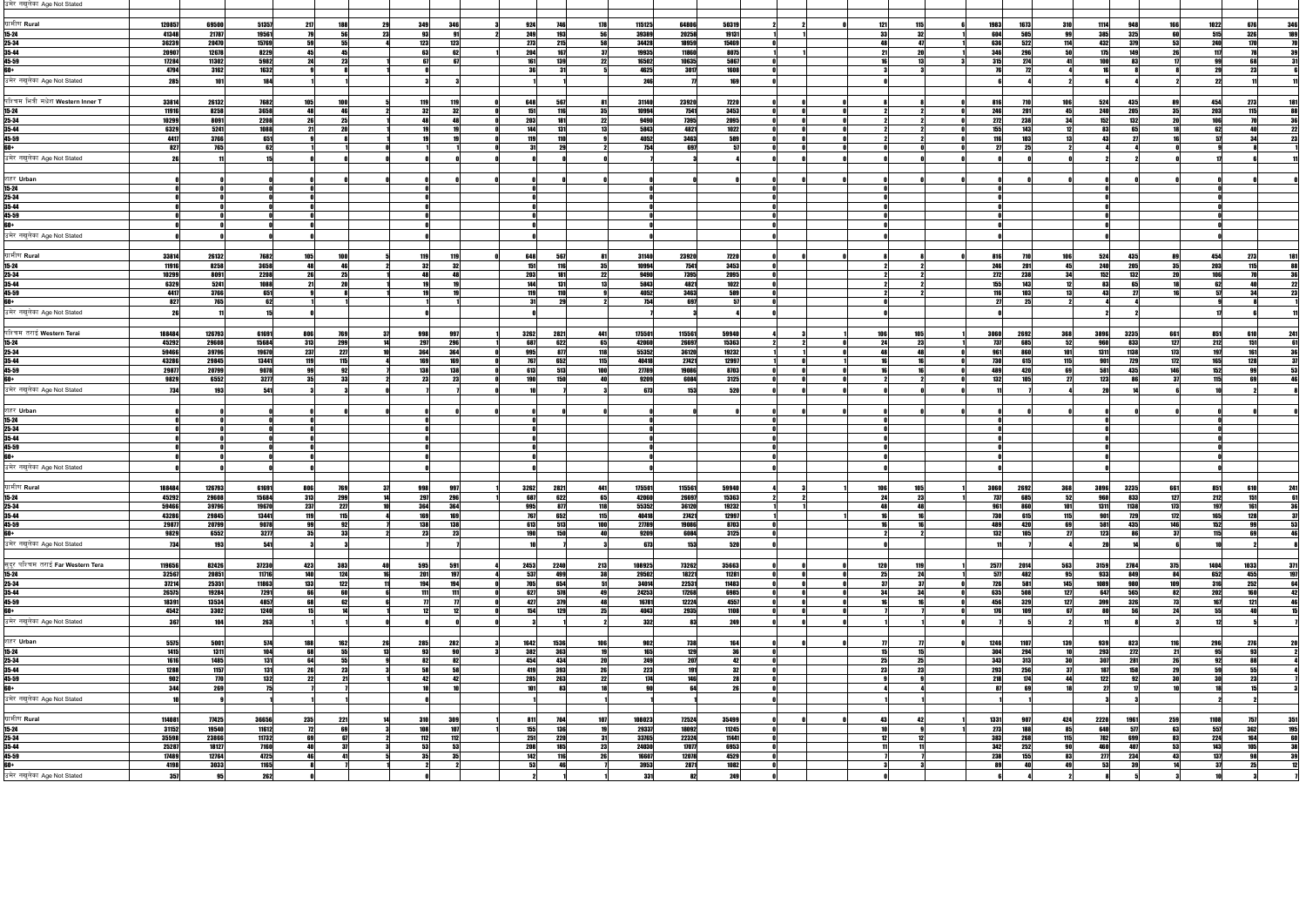| उमेर नखुलेका Age Not Stated               |                |                        |                |                          |    |            |            |                                       |           |                |                |                                                           |     |            |                               |            |                   |                    |            |                   |            |     |
|-------------------------------------------|----------------|------------------------|----------------|--------------------------|----|------------|------------|---------------------------------------|-----------|----------------|----------------|-----------------------------------------------------------|-----|------------|-------------------------------|------------|-------------------|--------------------|------------|-------------------|------------|-----|
| ग्रामीण <b>Rura</b> l                     | 120857         | 69500                  | 51357          | 217<br>188               |    | 349        |            | 924                                   | 178       | 115125         | 64806          | 50319                                                     |     | 121<br>115 | 1983<br>1673                  | 310        | 1114              | 948                | 166        | 1022              | 676        | 34  |
| 15-24                                     | 41348          | 21787                  | 19561          | 56                       | 23 | 93         |            | 249<br>193                            | 56        | 39389          | 20258          | 19131                                                     |     | -33<br>32  | 604<br>505                    |            | 385               | <b>325</b>         | 60         | 515               | <b>326</b> |     |
| 25-34<br>35-44                            | 36239<br>20907 | 20470<br>12678         | 15769<br>8229  | 55<br>45<br>45           |    | 123<br>63  | 12         | 273<br>204                            |           | 34428<br>19935 | 18959<br>11860 | 15469<br>8075                                             |     |            | 636<br>522<br>346<br>296      |            | 432<br>175        | 370                | 53         | 240<br>117        |            |     |
| 45-59                                     | 17284          | 11302                  | 5982           | 2 <sub>4</sub><br>23     |    | 67         |            | <b>161</b><br>130                     |           | 16502          | 10635          | 5867                                                      |     |            | 315<br>274                    |            | 100L              |                    |            | ΩO                | 68         |     |
| ß٨.                                       | 4794           | 3162                   | 1632           |                          |    |            |            |                                       |           | 4625           | 3017           | 1608                                                      |     |            |                               |            |                   |                    |            | -291              |            |     |
| उमेर नखुलेका Age Not Stated               | 285            |                        | 184            |                          |    |            |            |                                       |           | 246            |                | 160                                                       |     |            |                               |            |                   |                    |            |                   |            |     |
| पश्चिम भित्री मधेश <b>Western Inner T</b> | 33814          | 26132                  | 7682           | 1051                     |    | 119        |            | 648                                   | -81       | 31140          | 23920          | 7220                                                      |     |            | 816                           | 106        | 524               | 43!                |            | 4541              | 2731       |     |
| 15-24                                     | 11916          | 8258                   | 3658           | ДЯ                       |    |            |            | 151                                   |           | 10994          | 7541           | 3453                                                      |     |            | 246<br>201                    | 45         | 240<br>152        | 205<br>132         |            | 203               |            |     |
| 25-34<br>35-44                            | 10299<br>6329  | 8091<br>5241           | 2208<br>1088   | 26<br>25                 |    |            |            | 203<br>144                            |           | 9490<br>5843   | 7395<br>4821   | 2095<br>1022                                              |     |            | 272<br>238<br>155<br>143      |            | 83                |                    |            |                   |            |     |
| 45-59                                     | 4417           | 3766                   | 651            |                          |    |            |            | 110                                   |           | 4052           | 3463           | 589                                                       |     |            | 116<br>103                    |            | 43                |                    |            |                   |            |     |
| ß٨.<br>उमेर नखुलेका Age Not Stated        | 827            | 765                    | 62 I           |                          |    |            |            |                                       |           | 754 l          | 697            | -57                                                       |     |            |                               |            |                   |                    |            |                   |            |     |
|                                           |                |                        |                |                          |    |            |            |                                       |           |                |                |                                                           |     |            |                               |            |                   |                    |            |                   |            |     |
| शहर Urban                                 |                |                        |                |                          |    |            |            |                                       |           |                |                |                                                           |     |            |                               |            |                   |                    |            |                   |            |     |
| 15-24<br>25-34                            |                |                        |                |                          |    |            |            |                                       |           |                |                |                                                           |     |            |                               |            |                   |                    |            |                   |            |     |
| 35-44                                     |                |                        |                |                          |    |            |            |                                       |           |                |                |                                                           |     |            |                               |            |                   |                    |            |                   |            |     |
| 45-59                                     |                |                        |                |                          |    |            |            |                                       |           |                |                |                                                           |     |            |                               |            |                   |                    |            |                   |            |     |
| £ĥâ<br>उमेर नखुलेका Age Not Stated        |                |                        |                |                          |    |            |            |                                       |           |                |                |                                                           |     |            |                               |            |                   |                    |            |                   |            |     |
|                                           |                |                        |                |                          |    |            |            |                                       |           |                |                |                                                           |     |            |                               |            |                   |                    |            |                   |            |     |
| ग्रामीण <b>Rura</b> l                     | 33814          | 26132                  | 7682           | 105                      |    | 119        |            | 648<br>567                            | -81       | 31140          | 23920          | 7220                                                      |     |            | 816<br>710                    | 106        | 524               | 435                | 89         | 454               | 273        |     |
| 15-24<br>25-34                            | 11916<br>10299 | 8258<br>8091           | 3658<br>2208   | A8<br>25                 |    |            |            | 151<br>203                            | 35        | 10994<br>9490  | 7541<br>7395   | 3453<br>2095                                              |     |            | 246<br>201<br>272<br>238      | 45         | <b>240</b><br>152 | 205<br>132         |            | 203               | 115        |     |
| 35-44                                     | 6329           | 5241                   | 1088           | 21                       |    |            |            | 144                                   |           | 5843           | 4821           | 1022                                                      |     |            | 155<br>143                    |            | 93                |                    |            |                   |            |     |
| 45-59                                     | 4417           | <b>3766</b>            | 651            |                          |    |            |            | 110                                   |           | 4052           | 3463           | 589<br>57                                                 |     |            | 116<br>109                    |            | л.                |                    |            |                   |            |     |
| उमेर नखुलेका Age Not Stated               | 827            | 765                    | 62             |                          |    |            |            |                                       |           | 754            | 697            |                                                           |     |            |                               |            |                   |                    |            |                   |            |     |
|                                           |                |                        |                |                          |    |            |            |                                       |           |                |                |                                                           |     |            |                               |            |                   |                    |            |                   |            |     |
| पश्चिम तराई <b>Western Terai</b>          | 188484         | 126793                 | 61691          | 806<br>769               |    | 998        |            | 3262<br>2821                          | 441       | 175501         | 115561         | 59940                                                     | 106 | 105        | 3060<br>2692                  | 368        | 3896              | 3235               | 661        | 851               | 610        | 24  |
| 15-24<br>25-34                            | 45292<br>59466 | 29608<br>39796         | 15684<br>19670 | 313<br>299<br>237<br>227 |    | 297<br>364 | 296<br>364 | 687<br>622<br>995<br>877              | 65<br>118 | 42060<br>55352 | 26697<br>36120 | 15363<br>19232                                            |     |            | 737<br>685<br>961<br>860      | 52<br>101  | lnap<br>1311      | 833<br>1138        | 127<br>173 | 212<br>197        | 161        |     |
| 35-44                                     | 43286          | 29845                  | 13441          | 119<br>115               |    | 169        | 169        | 767<br>652                            | 115       | 40418          | 27421          | 12997                                                     |     |            | 730<br>615                    | 115        | 901               | <b>729</b>         | 172        | 1651              | 128        |     |
| 45-59<br>ß٨.                              | 29877          | 20799                  | 9078           | 99<br>92                 |    | 138        | 138        | 613<br>513<br>190 <sub>1</sub><br>150 |           | 27789          | 19086          | 8703                                                      |     |            | 489<br>420                    | 69         | 581               | <b>435</b>         | 146        | 152               |            |     |
| उमेर नखुलेका Age Not Stated               | 9829<br>734    | 6552<br>193            | 3277<br>541    | 33<br>35                 |    | 23         |            |                                       |           | 9209<br>673    | 6084<br>153    | 3125<br>520                                               |     |            | 132<br>105                    | 27         | 123               |                    |            | 115               |            |     |
|                                           |                |                        |                |                          |    |            |            |                                       |           |                |                |                                                           |     |            |                               |            |                   |                    |            |                   |            |     |
| शहर Urban                                 |                |                        |                |                          |    |            |            |                                       |           |                |                |                                                           |     |            |                               |            |                   |                    |            |                   |            |     |
| 15-24<br>25-34                            |                |                        |                |                          |    |            |            |                                       |           |                |                |                                                           |     |            |                               |            |                   |                    |            |                   |            |     |
| 35-44                                     |                |                        |                |                          |    |            |            |                                       |           |                |                |                                                           |     |            |                               |            |                   |                    |            |                   |            |     |
| 45-59<br>ß٨.                              |                |                        |                |                          |    |            |            |                                       |           |                |                |                                                           |     |            |                               |            |                   |                    |            |                   |            |     |
| उमेर नखुलेका Age Not Stated               |                |                        |                |                          |    |            |            |                                       |           |                |                |                                                           |     |            |                               |            |                   |                    |            |                   |            |     |
|                                           |                |                        |                |                          |    |            |            |                                       |           |                |                |                                                           |     |            |                               |            |                   |                    |            |                   |            |     |
| ग्रामीण <b>Rural</b>                      | 188484         | 126793                 | 61691          | 806                      |    | 998        |            | 3262<br>2821                          | 441       | 175501         | 115561         | 59940                                                     | 10  | 105        | 3060 <br>2692                 | <b>368</b> | 3896              | 3235               | 661        | 851               | 610        |     |
| 15-24<br>25-34                            | 45292<br>59466 | 29608<br>39796         | 15684<br>19670 | 313<br>299<br>237<br>227 |    | 297<br>364 | 296<br>364 | 687<br>622<br>995<br>877              | 65<br>118 | 42060<br>55352 | 26697<br>36120 | 15363<br>19232                                            |     |            | 737<br>685<br>961<br>860      | 101        | 960<br>1311       | 833<br><b>1138</b> | 127<br>173 | 212<br>197        |            |     |
| 35-44                                     | 43286          | 29845                  | 13441          | 119<br>115               |    | 169        |            | 767<br>652                            |           | 40418          | 27421          | 12997                                                     |     |            | 730<br>615                    | 115        |                   |                    | 172        | 1651              | 128        |     |
| 45-59<br>۴N+                              | 29877<br>9829  | 20799<br>6552          | 9078<br>3277   | 92<br>33<br>35           |    | 138<br>23  | 138        | 613<br>513<br>190<br>150              |           | 27789<br>9209  | 19086<br>6084  | $\begin{array}{r} \hline 8703 \\ \hline 3125 \end{array}$ |     |            | 489<br>420<br>132<br>105      | 27         | 581<br>123        | 435                | 146        | 152<br><b>115</b> |            |     |
| उमेर नखुलेका Age Not Stated               | 734            | 193                    | 541            |                          |    |            |            |                                       |           | 673            | 153            | 520                                                       |     |            |                               |            |                   |                    |            |                   |            |     |
|                                           |                |                        |                |                          |    |            |            |                                       |           |                |                |                                                           |     |            |                               |            |                   |                    |            |                   |            |     |
| सुदूर पश्चिम तराई Far Western Tera        | 119656         | 82426                  | 37230          | 383<br>423               |    | 595        | 107        | 2453<br><b>2240</b>                   | 213       | 108925         | 73262          | 35663                                                     |     | 120<br>110 | 2577<br>2014                  | 563        | 3159              | 2784               | 375        | 1404              | 1033       |     |
| 15-24<br>25-34                            | 32567<br>37214 | 20851<br>25351         | 11716<br>11863 | 140<br>124<br>133<br>122 |    | 201<br>194 | 10/        | 537<br>499<br>705<br>654              |           | 29502<br>34014 | 18221<br>22531 | 11281<br>11483                                            |     | 25<br>-97  | 577<br>482<br>726<br>581      | 95<br>145  | 933<br>1089       | 849<br>QRN         | 109        | 652<br>316        | 455<br>252 |     |
| 35-44                                     | 26575          | 19284                  | 7291           | 66<br>60                 |    | 111        |            | 627<br>578                            |           | 24253          | 17268          | 6985                                                      |     |            | 508<br>635                    | 127        | 647               | 565                |            | <b>202</b>        | 160        |     |
| 45-59<br>fin                              | 18391<br>4542  | 13534<br>3302          | 4857<br>1240   | <b>GR</b><br>62          |    |            |            | 427<br>379<br>154<br>129              |           | 16781<br>4043  | 12224<br>2935  | 4557<br>1108                                              |     |            | 456<br>329<br>176<br>1091     | 127<br>67  | 399<br>ΩN         | <b>326</b>         |            | 167<br>551        | 121        |     |
| उमेर नखुलेका Age Not Stated               | 367            | 104                    | 263            |                          |    |            |            |                                       |           | 332            | 83             | 249                                                       |     |            |                               |            |                   |                    |            |                   |            |     |
|                                           |                |                        |                |                          |    |            |            |                                       |           |                |                |                                                           |     |            |                               |            |                   |                    |            |                   |            |     |
| शहर Urban                                 | 5575           | 5001                   | 574            | 1621<br>1881             |    | 285        | 28.        | 1642<br>1536                          | 106       | 902<br>165     | <b>738</b>     | 164                                                       |     |            | 1246<br>1107                  | 139        | 939               | 82<br>272          | 1161       | 296               | 2761<br>03 |     |
| 15-24<br>25-34                            | 1415<br>1616   | $\boxed{1311}$<br>1485 | 104<br>131     | 55<br>55<br>64           |    |            |            | 382<br>363<br>454<br>434              |           | 249            | 129<br>207     | 36<br>42                                                  |     |            | 304<br>294<br>343<br>313      |            | 293<br>307        | 281                |            |                   |            |     |
| 35-44                                     | 1288           | 1157                   | 131            | 23<br>26                 |    | 58         | 58         | 419<br>393                            |           | <b>223</b>     | 191            | 32                                                        |     |            | 293<br>256                    | -37        | 187               | 158                |            | 50                | 55         |     |
| 45-59                                     | 902<br>344     | <b>770</b><br>269      | 132            |                          |    |            |            | 285<br>2631<br>101                    |           | 174            |                |                                                           |     |            | 218<br>174                    |            | 122               |                    |            |                   |            |     |
| उमेर नखुलेका Age Not Stated               |                |                        |                |                          |    |            |            |                                       |           |                |                |                                                           |     |            |                               |            |                   |                    |            |                   |            |     |
|                                           |                |                        |                |                          |    |            |            |                                       |           |                |                |                                                           |     |            |                               |            |                   |                    |            |                   |            |     |
| ग्रामीण <b>Rural</b>                      | 114081         | 77425                  | 36656          | 235<br>221               |    | <b>310</b> | 309        | 811                                   | 107       | 108023         | 72524          | 35499                                                     |     |            | 1331                          | 424        | 2220              | 1961               | 259        | 1108              | 7571       | 351 |
| 15-24<br>25-34                            | 31152<br>35598 | 19540<br>23866         | 11612<br>11732 | 69<br>721<br>-67         |    | 108<br>112 | 107<br>112 | 155<br>136<br>251<br>220              |           | 29337<br>33765 | 18092<br>22324 | 11245<br>11441                                            |     |            | 273<br>188<br>383<br>268      | 85<br>115  | 640<br>782        | 577<br>699         | 63         | 557<br>224        | 362<br>164 | 195 |
| 35-44                                     | 25287          | 18127                  | 7160           |                          |    | 53         | 53         | 208<br>185                            |           | 24030          | 17077          | 6953                                                      |     |            | 342<br>252                    |            | 460               | 407                | -52        | 143               | 105        |     |
| 45-59<br>60+                              | 17489<br>4198  | 12764<br>3033          | 4725<br>1165   |                          |    | 35         | - 35       | 142<br>53                             |           | 16607<br>3953  | 12078<br>2871  | 4529<br>1082                                              |     |            | 238<br>155<br>89<br><b>AO</b> | 83         | 277<br>53         | 234<br>30          |            | 137<br>37         | 98<br>25   |     |
| उमेर नखुलेका Age Not Stated               | 357            |                        | 262            |                          |    |            |            |                                       |           | 331            |                | 249                                                       |     |            |                               |            |                   |                    |            |                   |            |     |